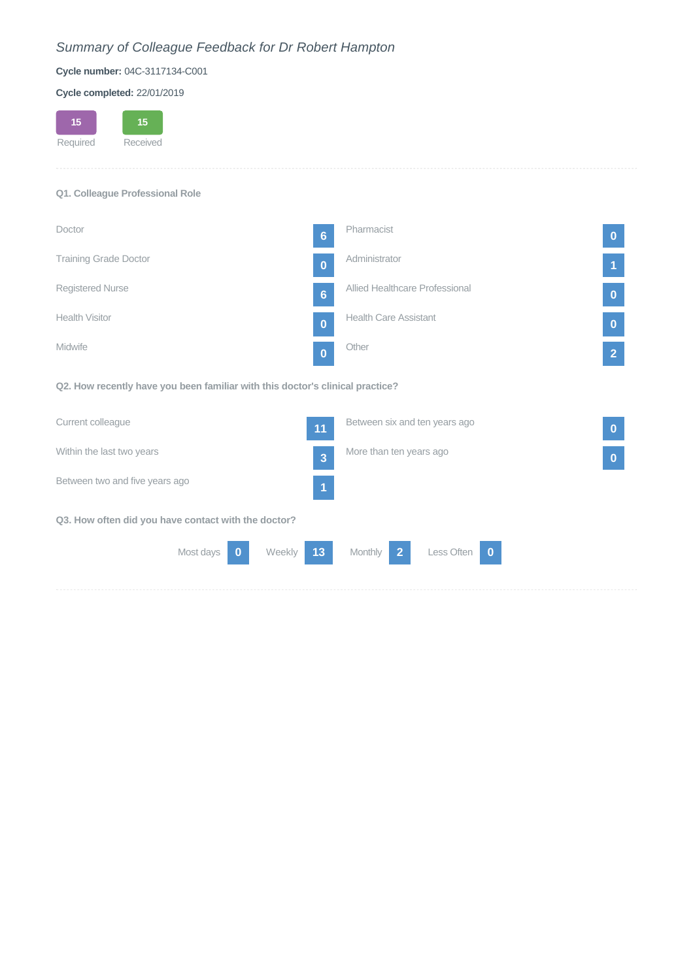# *Summary of Colleague Feedback for Dr Robert Hampton*

### **Cycle number:** 04C-3117134-C001

#### **Cycle completed:** 22/01/2019

#### **Q1. Colleague Professional Role**

| Doctor                       | $6\phantom{a}$ | Pharmacist                     | $\mathbf{0}$   |
|------------------------------|----------------|--------------------------------|----------------|
| <b>Training Grade Doctor</b> | $\bf{0}$       | Administrator                  | 11             |
| Registered Nurse             | $6\phantom{a}$ | Allied Healthcare Professional | $\mathbf{0}$   |
| <b>Health Visitor</b>        | $\bf{0}$       | <b>Health Care Assistant</b>   | $\overline{0}$ |
| <b>Midwife</b>               | $\mathbf{0}$   | Other                          | 2              |

**Q2. How recently have you been familiar with this doctor's clinical practice?**

| Current colleague                                   |           |        | 11             | Between six and ten years ago |              |  | $\mathbf 0$ |
|-----------------------------------------------------|-----------|--------|----------------|-------------------------------|--------------|--|-------------|
| Within the last two years                           |           |        | $\overline{3}$ | More than ten years ago       |              |  | $\bf{0}$    |
| Between two and five years ago                      |           |        | И              |                               |              |  |             |
| Q3. How often did you have contact with the doctor? |           |        |                |                               |              |  |             |
|                                                     | Most days | Weekly | 13             | $\vert 2 \vert$<br>Monthly    | Less Often 0 |  |             |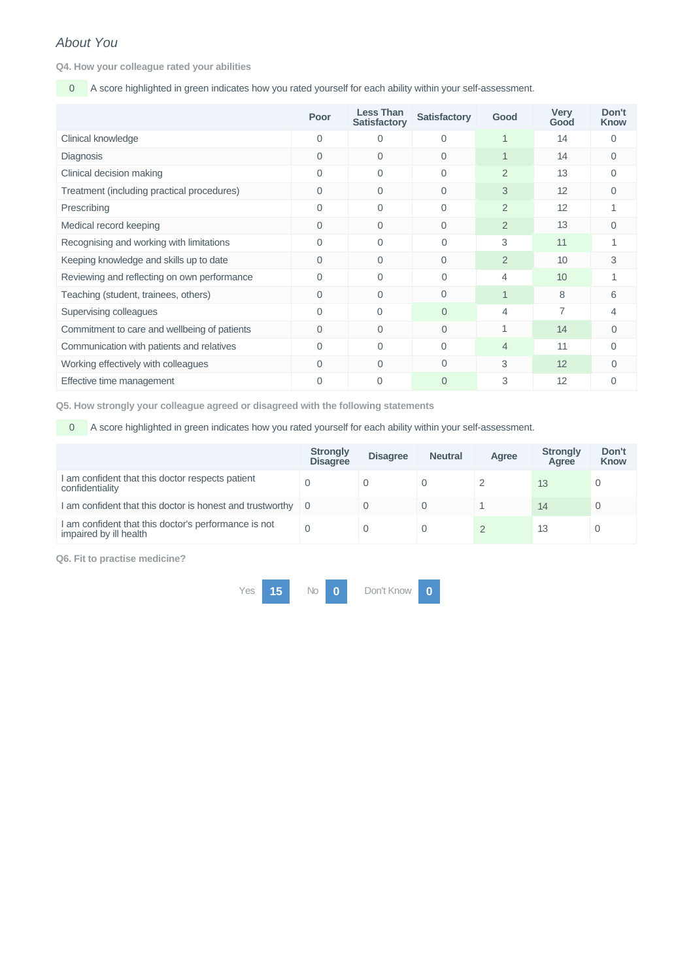## *About You*

**Q4. How your colleague rated your abilities**

0 A score highlighted in green indicates how you rated yourself for each ability within your self-assessment.

|                                              | Poor     | <b>Less Than</b><br><b>Satisfactory</b> | <b>Satisfactory</b> | Good           | <b>Very</b><br>Good | Don't<br><b>Know</b> |
|----------------------------------------------|----------|-----------------------------------------|---------------------|----------------|---------------------|----------------------|
| Clinical knowledge                           | $\Omega$ | $\Omega$                                | 0                   |                | 14                  | $\Omega$             |
| Diagnosis                                    | $\Omega$ | $\Omega$                                | 0                   | $\mathbf 1$    | 14                  | $\Omega$             |
| Clinical decision making                     | $\Omega$ | $\Omega$                                | $\Omega$            | $\overline{2}$ | 13                  | $\Omega$             |
| Treatment (including practical procedures)   | $\Omega$ | $\Omega$                                | $\Omega$            | 3              | 12                  | $\Omega$             |
| Prescribing                                  | $\Omega$ | $\Omega$                                | $\Omega$            | $\overline{2}$ | 12                  |                      |
| Medical record keeping                       | 0        | $\overline{0}$                          | $\mathbf{0}$        | 2              | 13                  | $\Omega$             |
| Recognising and working with limitations     | $\Omega$ | $\Omega$                                | $\Omega$            | 3              | 11                  |                      |
| Keeping knowledge and skills up to date      | $\Omega$ | $\Omega$                                | $\Omega$            | 2              | 10                  | 3                    |
| Reviewing and reflecting on own performance  | $\Omega$ | $\Omega$                                | $\Omega$            | 4              | 10                  |                      |
| Teaching (student, trainees, others)         | $\Omega$ | $\Omega$                                | $\Omega$            |                | 8                   | 6                    |
| Supervising colleagues                       | $\Omega$ | $\Omega$                                | $\Omega$            | $\overline{4}$ | 7                   | 4                    |
| Commitment to care and wellbeing of patients | $\Omega$ | $\Omega$                                | $\Omega$            |                | 14                  | $\Omega$             |
| Communication with patients and relatives    | $\Omega$ | $\Omega$                                | $\Omega$            | $\overline{4}$ | 11                  | $\Omega$             |
| Working effectively with colleagues          | $\Omega$ | $\Omega$                                | $\Omega$            | 3              | 12                  | $\Omega$             |
| Effective time management                    | $\Omega$ | 0                                       | $\Omega$            | 3              | 12                  | $\Omega$             |

**Q5. How strongly your colleague agreed or disagreed with the following statements**

0 A score highlighted in green indicates how you rated yourself for each ability within your self-assessment.

|                                                                                | <b>Strongly</b><br><b>Disagree</b> | <b>Disagree</b> | <b>Neutral</b> | Agree | <b>Strongly</b><br>Agree | Don't<br><b>Know</b> |
|--------------------------------------------------------------------------------|------------------------------------|-----------------|----------------|-------|--------------------------|----------------------|
| I am confident that this doctor respects patient<br>confidentiality            | 0                                  |                 |                |       | 13                       |                      |
| I am confident that this doctor is honest and trustworthy                      | - 0                                |                 |                |       | 14                       |                      |
| I am confident that this doctor's performance is not<br>impaired by ill health | $\Omega$                           |                 |                |       | 13                       | $\Omega$             |

**Q6. Fit to practise medicine?**

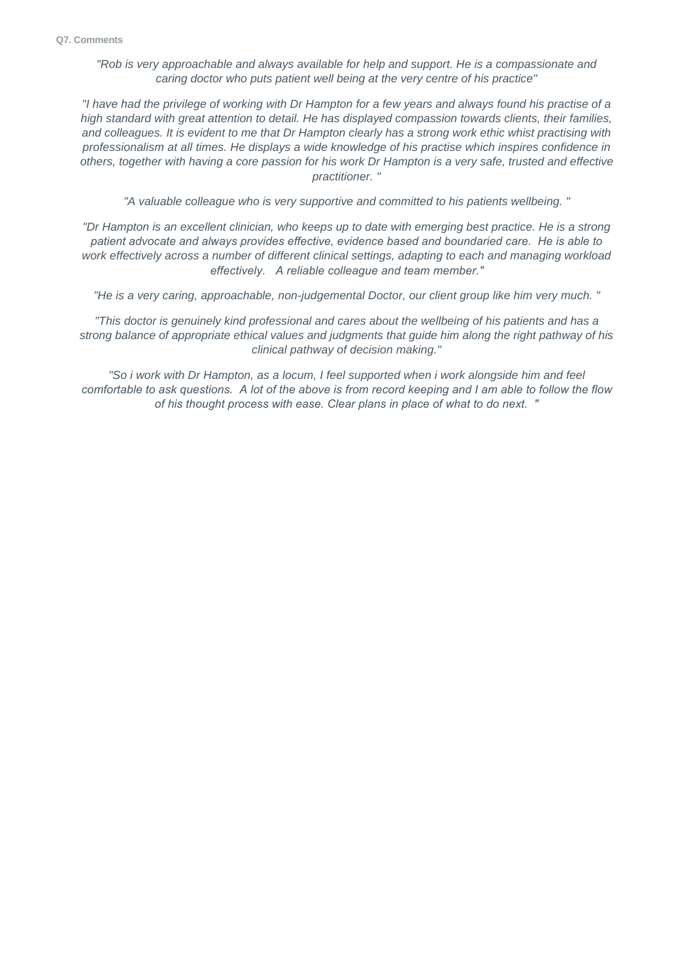*"Rob is very approachable and always available for help and support. He is a compassionate and caring doctor who puts patient well being at the very centre of his practice"*

*"I have had the privilege of working with Dr Hampton for a few years and always found his practise of a high standard with great attention to detail. He has displayed compassion towards clients, their families, and colleagues. It is evident to me that Dr Hampton clearly has a strong work ethic whist practising with professionalism at all times. He displays a wide knowledge of his practise which inspires confidence in others, together with having a core passion for his work Dr Hampton is a very safe, trusted and effective practitioner. "*

*"A valuable colleague who is very supportive and committed to his patients wellbeing. "*

*"Dr Hampton is an excellent clinician, who keeps up to date with emerging best practice. He is a strong patient advocate and always provides effective, evidence based and boundaried care. He is able to work effectively across a number of different clinical settings, adapting to each and managing workload effectively. A reliable colleague and team member."*

*"He is a very caring, approachable, non-judgemental Doctor, our client group like him very much. "*

*"This doctor is genuinely kind professional and cares about the wellbeing of his patients and has a strong balance of appropriate ethical values and judgments that guide him along the right pathway of his clinical pathway of decision making."*

*"So i work with Dr Hampton, as a locum, I feel supported when i work alongside him and feel comfortable to ask questions. A lot of the above is from record keeping and I am able to follow the flow of his thought process with ease. Clear plans in place of what to do next. "*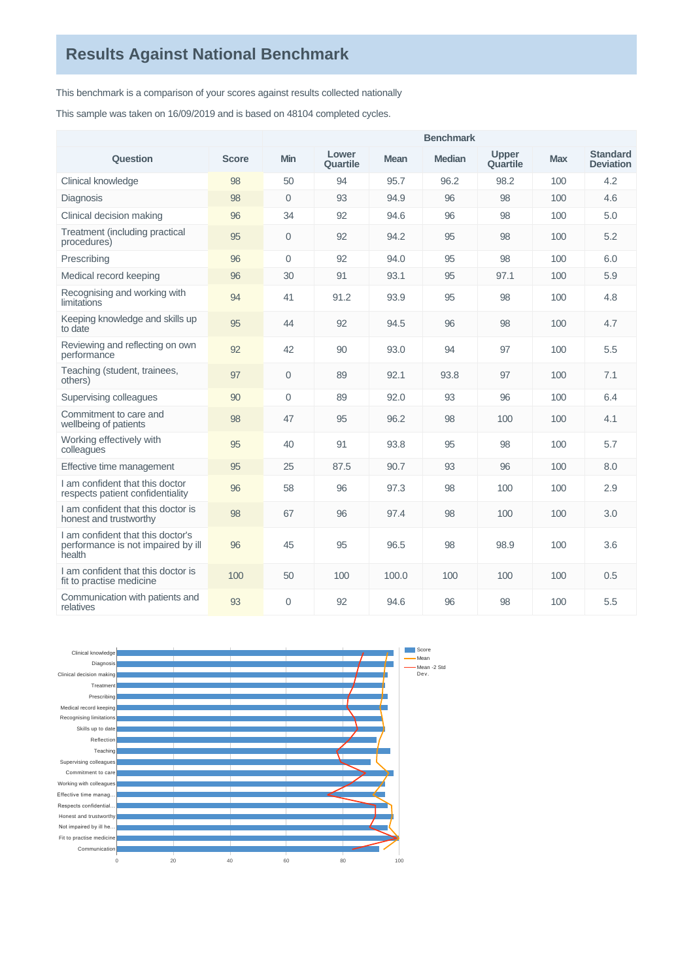This benchmark is a comparison of your scores against results collected nationally

This sample was taken on 16/09/2019 and is based on 48104 completed cycles.

|                                                                                   |              | <b>Benchmark</b> |                   |       |               |                          |            |                                     |  |  |  |
|-----------------------------------------------------------------------------------|--------------|------------------|-------------------|-------|---------------|--------------------------|------------|-------------------------------------|--|--|--|
| Question                                                                          | <b>Score</b> | <b>Min</b>       | Lower<br>Quartile | Mean  | <b>Median</b> | <b>Upper</b><br>Quartile | <b>Max</b> | <b>Standard</b><br><b>Deviation</b> |  |  |  |
| Clinical knowledge                                                                | 98           | 50               | 94                | 95.7  | 96.2          | 98.2                     | 100        | 4.2                                 |  |  |  |
| Diagnosis                                                                         | 98           | $\Omega$         | 93                | 94.9  | 96            | 98                       | 100        | 4.6                                 |  |  |  |
| Clinical decision making                                                          | 96           | 34               | 92                | 94.6  | 96            | 98                       | 100        | 5.0                                 |  |  |  |
| Treatment (including practical<br>procedures)                                     | 95           | $\Omega$         | 92                | 94.2  | 95            | 98                       | 100        | 5.2                                 |  |  |  |
| Prescribing                                                                       | 96           | $\Omega$         | 92                | 94.0  | 95            | 98                       | 100        | 6.0                                 |  |  |  |
| Medical record keeping                                                            | 96           | 30               | 91                | 93.1  | 95            | 97.1                     | 100        | 5.9                                 |  |  |  |
| Recognising and working with<br>limitations                                       | 94           | 41               | 91.2              | 93.9  | 95            | 98                       | 100        | 4.8                                 |  |  |  |
| Keeping knowledge and skills up<br>to date                                        | 95           | 44               | 92                | 94.5  | 96            | 98                       | 100        | 4.7                                 |  |  |  |
| Reviewing and reflecting on own<br>performance                                    | 92           | 42               | 90                | 93.0  | 94            | 97                       | 100        | 5.5                                 |  |  |  |
| Teaching (student, trainees,<br>others)                                           | 97           | $\Omega$         | 89                | 92.1  | 93.8          | 97                       | 100        | 7.1                                 |  |  |  |
| Supervising colleagues                                                            | 90           | $\Omega$         | 89                | 92.0  | 93            | 96                       | 100        | 6.4                                 |  |  |  |
| Commitment to care and<br>wellbeing of patients                                   | 98           | 47               | 95                | 96.2  | 98            | 100                      | 100        | 4.1                                 |  |  |  |
| Working effectively with<br>colleagues                                            | 95           | 40               | 91                | 93.8  | 95            | 98                       | 100        | 5.7                                 |  |  |  |
| Effective time management                                                         | 95           | 25               | 87.5              | 90.7  | 93            | 96                       | 100        | 8.0                                 |  |  |  |
| I am confident that this doctor<br>respects patient confidentiality               | 96           | 58               | 96                | 97.3  | 98            | 100                      | 100        | 2.9                                 |  |  |  |
| I am confident that this doctor is<br>honest and trustworthy                      | 98           | 67               | 96                | 97.4  | 98            | 100                      | 100        | 3.0                                 |  |  |  |
| I am confident that this doctor's<br>performance is not impaired by ill<br>health | 96           | 45               | 95                | 96.5  | 98            | 98.9                     | 100        | 3.6                                 |  |  |  |
| I am confident that this doctor is<br>fit to practise medicine                    | 100          | 50               | 100               | 100.0 | 100           | 100                      | 100        | 0.5                                 |  |  |  |
| Communication with patients and<br>relatives                                      | 93           | $\Omega$         | 92                | 94.6  | 96            | 98                       | 100        | 5.5                                 |  |  |  |

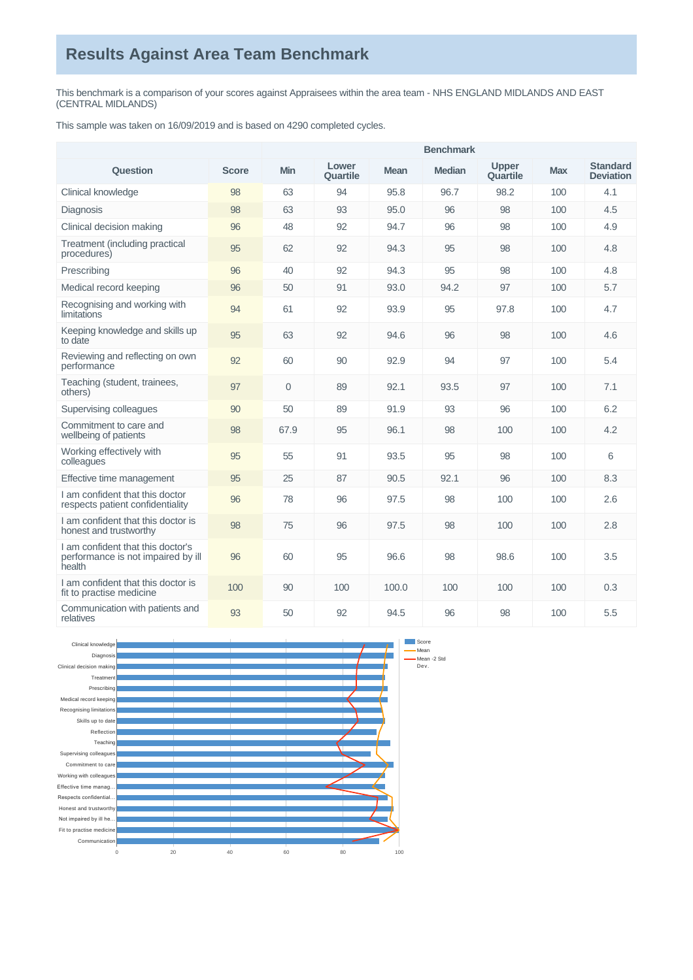This benchmark is a comparison of your scores against Appraisees within the area team - NHS ENGLAND MIDLANDS AND EAST (CENTRAL MIDLANDS)

This sample was taken on 16/09/2019 and is based on 4290 completed cycles.

|                                                                                   |              | <b>Benchmark</b> |                   |             |               |                          |            |                                     |  |  |
|-----------------------------------------------------------------------------------|--------------|------------------|-------------------|-------------|---------------|--------------------------|------------|-------------------------------------|--|--|
| Question                                                                          | <b>Score</b> | <b>Min</b>       | Lower<br>Quartile | <b>Mean</b> | <b>Median</b> | <b>Upper</b><br>Quartile | <b>Max</b> | <b>Standard</b><br><b>Deviation</b> |  |  |
| Clinical knowledge                                                                | 98           | 63               | 94                | 95.8        | 96.7          | 98.2                     | 100        | 4.1                                 |  |  |
| Diagnosis                                                                         | 98           | 63               | 93                | 95.0        | 96            | 98                       | 100        | 4.5                                 |  |  |
| Clinical decision making                                                          | 96           | 48               | 92                | 94.7        | 96            | 98                       | 100        | 4.9                                 |  |  |
| Treatment (including practical<br>procedures)                                     | 95           | 62               | 92                | 94.3        | 95            | 98                       | 100        | 4.8                                 |  |  |
| Prescribing                                                                       | 96           | 40               | 92                | 94.3        | 95            | 98                       | 100        | 4.8                                 |  |  |
| Medical record keeping                                                            | 96           | 50               | 91                | 93.0        | 94.2          | 97                       | 100        | 5.7                                 |  |  |
| Recognising and working with<br>limitations                                       | 94           | 61               | 92                | 93.9        | 95            | 97.8                     | 100        | 4.7                                 |  |  |
| Keeping knowledge and skills up<br>to date                                        | 95           | 63               | 92                | 94.6        | 96            | 98                       | 100        | 4.6                                 |  |  |
| Reviewing and reflecting on own<br>performance                                    | 92           | 60               | 90                | 92.9        | 94            | 97                       | 100        | 5.4                                 |  |  |
| Teaching (student, trainees,<br>others)                                           | 97           | $\mathbf{0}$     | 89                | 92.1        | 93.5          | 97                       | 100        | 7.1                                 |  |  |
| Supervising colleagues                                                            | 90           | 50               | 89                | 91.9        | 93            | 96                       | 100        | 6.2                                 |  |  |
| Commitment to care and<br>wellbeing of patients                                   | 98           | 67.9             | 95                | 96.1        | 98            | 100                      | 100        | 4.2                                 |  |  |
| Working effectively with<br>colleagues                                            | 95           | 55               | 91                | 93.5        | 95            | 98                       | 100        | $6\phantom{1}$                      |  |  |
| Effective time management                                                         | 95           | 25               | 87                | 90.5        | 92.1          | 96                       | 100        | 8.3                                 |  |  |
| I am confident that this doctor<br>respects patient confidentiality               | 96           | 78               | 96                | 97.5        | 98            | 100                      | 100        | 2.6                                 |  |  |
| I am confident that this doctor is<br>honest and trustworthy                      | 98           | 75               | 96                | 97.5        | 98            | 100                      | 100        | 2.8                                 |  |  |
| I am confident that this doctor's<br>performance is not impaired by ill<br>health | 96           | 60               | 95                | 96.6        | 98            | 98.6                     | 100        | 3.5                                 |  |  |
| I am confident that this doctor is<br>fit to practise medicine                    | 100          | 90               | 100               | 100.0       | 100           | 100                      | 100        | 0.3                                 |  |  |
| Communication with patients and<br>relatives                                      | 93           | 50               | 92                | 94.5        | 96            | 98                       | 100        | 5.5                                 |  |  |